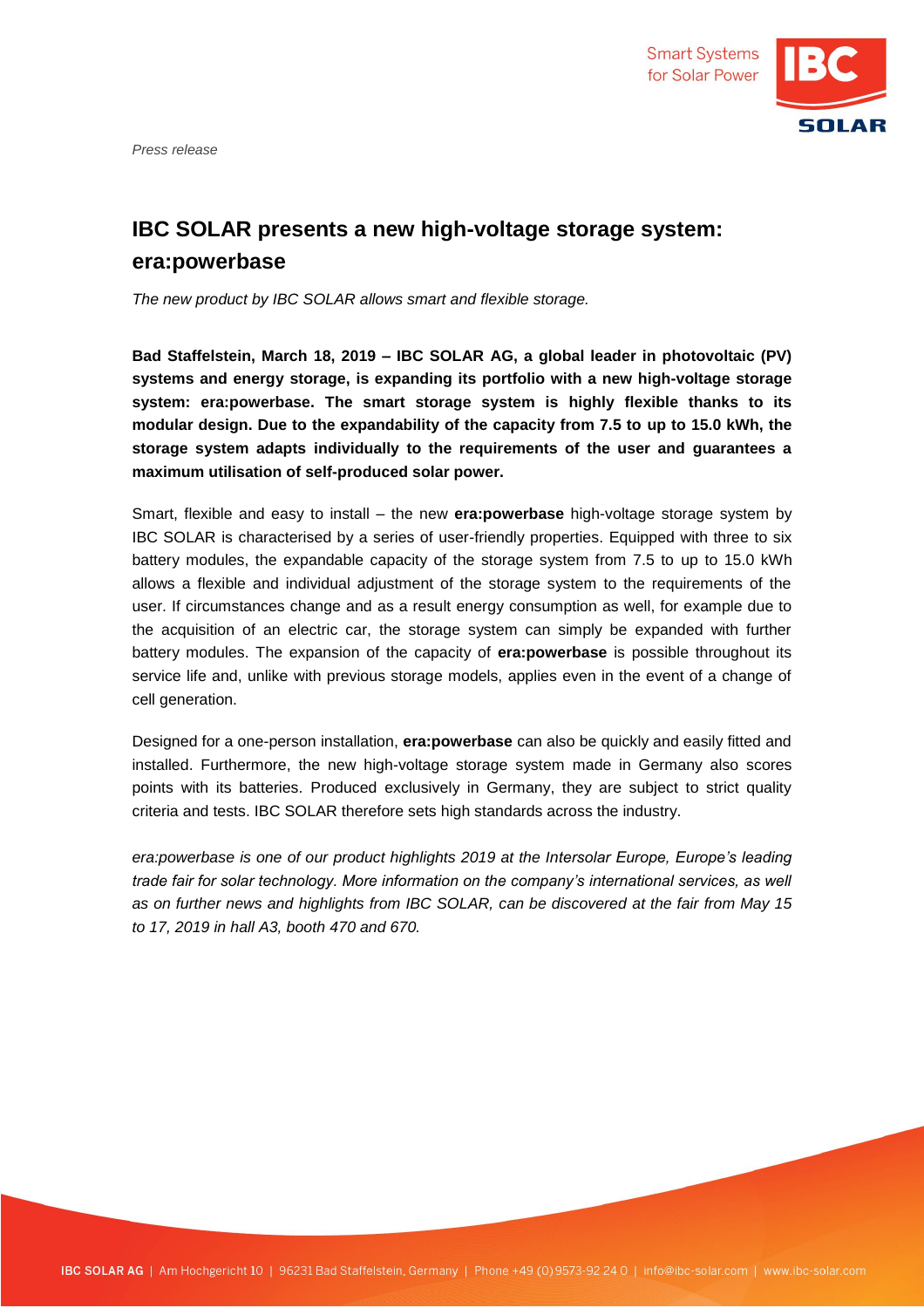

*Press release*

## **IBC SOLAR presents a new high-voltage storage system: era:powerbase**

*The new product by IBC SOLAR allows smart and flexible storage.*

**Bad Staffelstein, March 18, 2019 – IBC SOLAR AG, a global leader in photovoltaic (PV) systems and energy storage, is expanding its portfolio with a new high-voltage storage system: era:powerbase. The smart storage system is highly flexible thanks to its modular design. Due to the expandability of the capacity from 7.5 to up to 15.0 kWh, the storage system adapts individually to the requirements of the user and guarantees a maximum utilisation of self-produced solar power.** 

Smart, flexible and easy to install – the new **era:powerbase** high-voltage storage system by IBC SOLAR is characterised by a series of user-friendly properties. Equipped with three to six battery modules, the expandable capacity of the storage system from 7.5 to up to 15.0 kWh allows a flexible and individual adjustment of the storage system to the requirements of the user. If circumstances change and as a result energy consumption as well, for example due to the acquisition of an electric car, the storage system can simply be expanded with further battery modules. The expansion of the capacity of **era:powerbase** is possible throughout its service life and, unlike with previous storage models, applies even in the event of a change of cell generation.

Designed for a one-person installation, **era:powerbase** can also be quickly and easily fitted and installed. Furthermore, the new high-voltage storage system made in Germany also scores points with its batteries. Produced exclusively in Germany, they are subject to strict quality criteria and tests. IBC SOLAR therefore sets high standards across the industry.

*era:powerbase is one of our product highlights 2019 at the Intersolar Europe, Europe's leading trade fair for solar technology. More information on the company's international services, as well as on further news and highlights from IBC SOLAR, can be discovered at the fair from May 15 to 17, 2019 in hall A3, booth 470 and 670.*